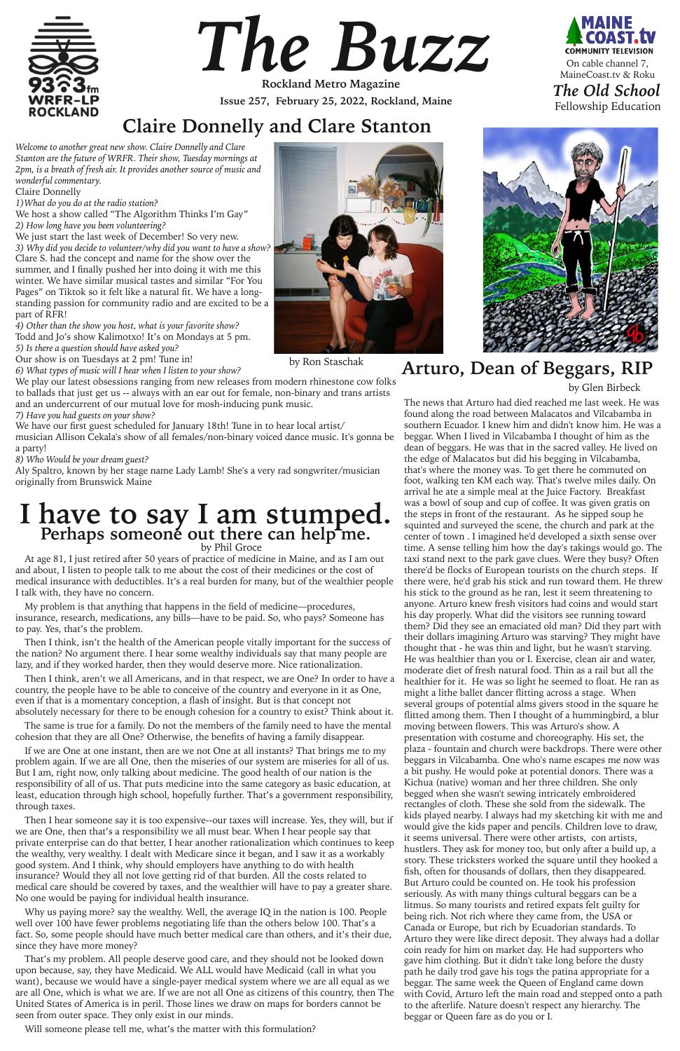*Welcome to another great new show. Claire Donnelly and Clare Stanton are the future of WRFR. Their show, Tuesday mornings at 2pm, is a breath of fresh air. It provides another source of music and wonderful commentary.*

We host a show called "The Algorithm Thinks I'm Gay" *2) How long have you been volunteering?*

Claire Donnelly

*1)What do you do at the radio station?*

We just start the last week of December! So very new.

*3) Why did you decide to volunteer/why did you want to have a show?* Clare S. had the concept and name for the show over the summer, and I finally pushed her into doing it with me this winter. We have similar musical tastes and similar "For You Pages" on Tiktok so it felt like a natural fit. We have a longstanding passion for community radio and are excited to be a part of RFR!

*4) Other than the show you host, what is your favorite show?* Todd and Jo's show Kalimotxo! It's on Mondays at 5 pm. *5) Is there a question should have asked you?*

Our show is on Tuesdays at 2 pm! Tune in!

*6) What types of music will I hear when I listen to your show?*

We play our latest obsessions ranging from new releases from modern rhinestone cow folks to ballads that just get us -- always with an ear out for female, non-binary and trans artists and an undercurrent of our mutual love for mosh-inducing punk music.

*7) Have you had guests on your show?*

We have our first guest scheduled for January 18th! Tune in to hear local artist/ musician Allison Cekala's show of all females/non-binary voiced dance music. It's gonna be a party!

*8) Who Would be your dream guest?*

Aly Spaltro, known by her stage name Lady Lamb! She's a very rad songwriter/musician originally from Brunswick Maine



*The Buzz*

**Issue 257, February 25, 2022, Rockland, Maine Rockland Metro Magazine**





by Glen Birbeck

# **Arturo, Dean of Beggars, RIP**

The news that Arturo had died reached me last week. He was found along the road between Malacatos and Vilcabamba in southern Ecuador. I knew him and didn't know him. He was a beggar. When I lived in Vilcabamba I thought of him as the dean of beggars. He was that in the sacred valley. He lived on the edge of Malacatos but did his begging in Vilcabamba, that's where the money was. To get there he commuted on foot, walking ten KM each way. That's twelve miles daily. On arrival he ate a simple meal at the Juice Factory. Breakfast was a bowl of soup and cup of coffee. It was given gratis on the steps in front of the restaurant. As he sipped soup he squinted and surveyed the scene, the church and park at the center of town . I imagined he'd developed a sixth sense over time. A sense telling him how the day's takings would go. The taxi stand next to the park gave clues. Were they busy? Often there'd be flocks of European tourists on the church steps. If there were, he'd grab his stick and run toward them. He threw his stick to the ground as he ran, lest it seem threatening to anyone. Arturo knew fresh visitors had coins and would start his day properly. What did the visitors see running toward them? Did they see an emaciated old man? Did they part with their dollars imagining Arturo was starving? They might have thought that - he was thin and light, but he wasn't starving. He was healthier than you or I. Exercise, clean air and water, moderate diet of fresh natural food. Thin as a rail but all the healthier for it. He was so light he seemed to float. He ran as might a lithe ballet dancer flitting across a stage. When several groups of potential alms givers stood in the square he flitted among them. Then I thought of a hummingbird, a blur moving between flowers. This was Arturo's show. A presentation with costume and choreography. His set, the plaza - fountain and church were backdrops. There were other beggars in Vilcabamba. One who's name escapes me now was a bit pushy. He would poke at potential donors. There was a Kichua (native) woman and her three children. She only begged when she wasn't sewing intricately embroidered rectangles of cloth. These she sold from the sidewalk. The kids played nearby. I always had my sketching kit with me and would give the kids paper and pencils. Children love to draw, it seems universal. There were other artists, con artists, hustlers. They ask for money too, but only after a build up, a story. These tricksters worked the square until they hooked a fish, often for thousands of dollars, then they disappeared. But Arturo could be counted on. He took his profession seriously. As with many things cultural beggars can be a litmus. So many tourists and retired expats felt guilty for being rich. Not rich where they came from, the USA or Canada or Europe, but rich by Ecuadorian standards. To Arturo they were like direct deposit. They always had a dollar coin ready for him on market day. He had supporters who gave him clothing. But it didn't take long before the dusty path he daily trod gave his togs the patina appropriate for a beggar. The same week the Queen of England came down with Covid, Arturo left the main road and stepped onto a path to the afterlife. Nature doesn't respect any hierarchy. The beggar or Queen fare as do you or I.



## **I have to say I am stumped. Perhaps someone out there can help me.** by Phil Groce

At age 81, I just retired after 50 years of practice of medicine in Maine, and as I am out and about, I listen to people talk to me about the cost of their medicines or the cost of medical insurance with deductibles. It's a real burden for many, but of the wealthier people I talk with, they have no concern.

My problem is that anything that happens in the field of medicine—procedures, insurance, research, medications, any bills—have to be paid. So, who pays? Someone has to pay. Yes, that's the problem.

Then I think, isn't the health of the American people vitally important for the success of the nation? No argument there. I hear some wealthy individuals say that many people are lazy, and if they worked harder, then they would deserve more. Nice rationalization.

Then I think, aren't we all Americans, and in that respect, we are One? In order to have a country, the people have to be able to conceive of the country and everyone in it as One, even if that is a momentary conception, a flash of insight. But is that concept not absolutely necessary for there to be enough cohesion for a country to exist? Think about it.

The same is true for a family. Do not the members of the family need to have the mental cohesion that they are all One? Otherwise, the benefits of having a family disappear.

If we are One at one instant, then are we not One at all instants? That brings me to my problem again. If we are all One, then the miseries of our system are miseries for all of us. But I am, right now, only talking about medicine. The good health of our nation is the responsibility of all of us. That puts medicine into the same category as basic education, at least, education through high school, hopefully further. That's a government responsibility, through taxes.

Then I hear someone say it is too expensive--our taxes will increase. Yes, they will, but if we are One, then that's a responsibility we all must bear. When I hear people say that private enterprise can do that better, I hear another rationalization which continues to keep the wealthy, very wealthy. I dealt with Medicare since it began, and I saw it as a workably good system. And I think, why should employers have anything to do with health insurance? Would they all not love getting rid of that burden. All the costs related to medical care should be covered by taxes, and the wealthier will have to pay a greater share. No one would be paying for individual health insurance.

Why us paying more? say the wealthy. Well, the average IQ in the nation is 100. People well over 100 have fewer problems negotiating life than the others below 100. That's a fact. So, some people should have much better medical care than others, and it's their due, since they have more money?

That's my problem. All people deserve good care, and they should not be looked down upon because, say, they have Medicaid. We ALL would have Medicaid (call in what you want), because we would have a single-payer medical system where we are all equal as we are all One, which is what we are. If we are not all One as citizens of this country, then The United States of America is in peril. Those lines we draw on maps for borders cannot be seen from outer space. They only exist in our minds.

Will someone please tell me, what's the matter with this formulation?

## **Claire Donnelly and Clare Stanton**

by Ron Staschak